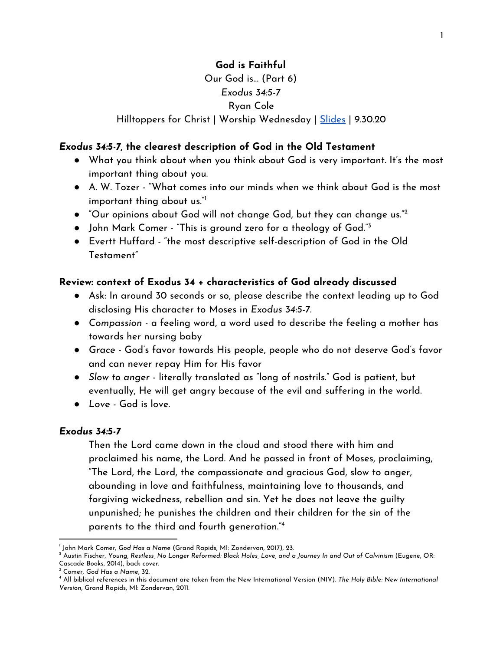# **God is Faithful**

## Our God is… (Part 6) *Exodus 34:5-7* Ryan Cole

### Hilltoppers for Christ | Worship Wednesday | [Slides](https://docs.google.com/presentation/d/1zv-F9LXCEBRCMKi_4LPVXIyUp4XCL2tuc2unPbsNkZ8/edit?usp=sharing) | 9.30.20

#### *Exodus 34:5-7***, the clearest description of God in the Old Testament**

- What you think about when you think about God is very important. It's the most important thing about you.
- A. W. Tozer "What comes into our minds when we think about God is the most important thing about us." 1
- $\bullet$  "Our opinions about God will not change God, but they can change us." $^2$
- John Mark Comer "This is ground zero for a theology of God."<sup>3</sup>
- Evertt Huffard "the most descriptive self-description of God in the Old Testament"

### **Review: context of Exodus 34 + characteristics of God already discussed**

- Ask: In around 30 seconds or so, please describe the context leading up to God disclosing His character to Moses in *Exodus 34:5-7*.
- *Compassion* a feeling word, a word used to describe the feeling a mother has towards her nursing baby
- *Grace* God's favor towards His people, people who do not deserve God's favor and can never repay Him for His favor
- *Slow to anger* literally translated as "long of nostrils." God is patient, but eventually, He will get angry because of the evil and suffering in the world.
- *Love* God is love.

#### *Exodus 34:5-7*

Then the Lord came down in the cloud and stood there with him and proclaimed his name, the Lord. And he passed in front of Moses, proclaiming, "The Lord, the Lord, the compassionate and gracious God, slow to anger, abounding in love and faithfulness, maintaining love to thousands, and forgiving wickedness, rebellion and sin. Yet he does not leave the guilty unpunished; he punishes the children and their children for the sin of the parents to the third and fourth generation." 4

<sup>1</sup> John Mark Comer, *God Has a Name* (Grand Rapids, MI: Zondervan, 2017), 23.

 $^2$  Austin Fischer, Young, Restless, No Longer Reformed: Black Holes, Love, and a Journey In and Out of Calvinism (Eugene, OR: Cascade Books, 2014), back cover.

<sup>3</sup> Comer, *God Has a Name*, 32.

<sup>4</sup> All biblical references in this document are taken from the New International Version (NIV). *The Holy Bible: New International Version*, Grand Rapids, MI: Zondervan, 2011.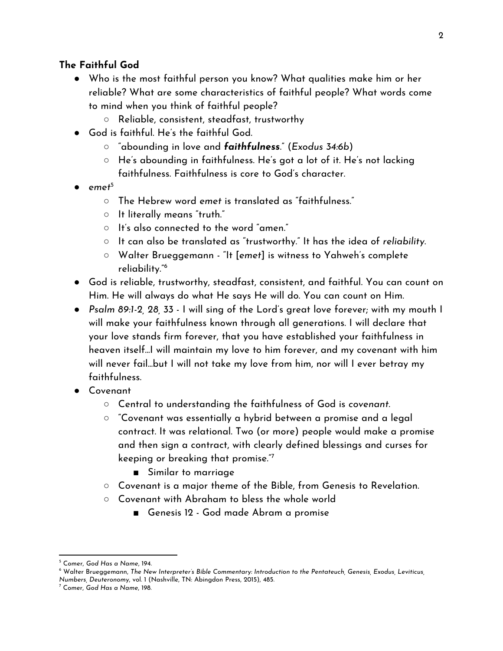## **The Faithful God**

- Who is the most faithful person you know? What qualities make him or her reliable? What are some characteristics of faithful people? What words come to mind when you think of faithful people?
	- Reliable, consistent, steadfast, trustworthy
- God is faithful. He's the faithful God.
	- "abounding in love and *faithfulness*." (*Exodus 34:6b*)
	- He's abounding in faithfulness. He's got a lot of it. He's not lacking faithfulness. Faithfulness is core to God's character.
- *● emet* 5
	- The Hebrew word *emet* is translated as "faithfulness."
	- $\circ$  It literally means "truth."
	- $\circ$  It's also connected to the word "amen."
	- It can also be translated as "trustworthy." It has the idea of *reliability*.
	- Walter Brueggemann "It [*emet*] is witness to Yahweh's complete reliability." 6
- God is reliable, trustworthy, steadfast, consistent, and faithful. You can count on Him. He will always do what He says He will do. You can count on Him.
- *Psalm 89:1-2, 28, 33* I will sing of the Lord's great love forever; with my mouth I will make your faithfulness known through all generations. I will declare that your love stands firm forever, that you have established your faithfulness in heaven itself...I will maintain my love to him forever, and my covenant with him will never fail...but I will not take my love from him, nor will I ever betray my faithfulness.
- Covenant
	- Central to understanding the faithfulness of God is *covenant*.
	- $\circ$  "Covenant was essentially a hybrid between a promise and a legal contract. It was relational. Two (or more) people would make a promise and then sign a contract, with clearly defined blessings and curses for keeping or breaking that promise." 7
		- Similar to marriage
	- Covenant is a major theme of the Bible, from Genesis to Revelation.
	- Covenant with Abraham to bless the whole world
		- Genesis 12 God made Abram a promise

<sup>5</sup> Comer, *God Has a Name*, 194.

<sup>6</sup> Walter Brueggemann, *The New Interpreter's Bible Commentary: Introduction to the Pentateuch, Genesis, Exodus, Leviticus, Numbers, Deuteronomy*, vol. 1 (Nashville, TN: Abingdon Press, 2015), 485.

<sup>7</sup> Comer, *God Has a Name*, 198.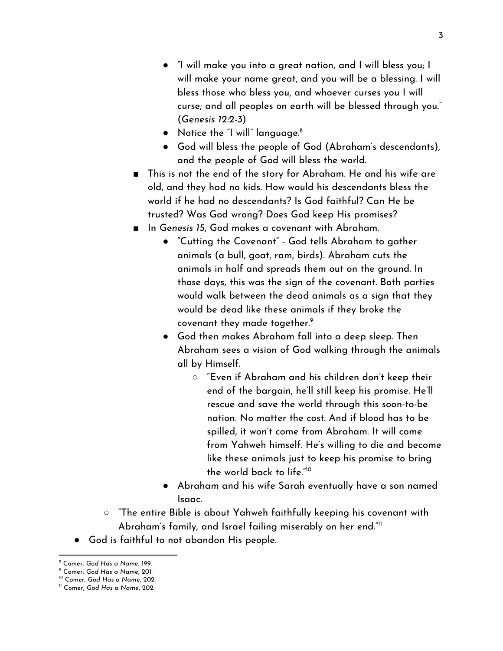- "I will make you into a great nation, and I will bless you; I will make your name great, and you will be a blessing. I will bless those who bless you, and whoever curses you I will curse; and all peoples on earth will be blessed through you." (*Genesis 12:2-3*)
- Notice the "I will" language. 8
- God will bless the people of God (Abraham's descendants), and the people of God will bless the world.
- This is not the end of the story for Abraham. He and his wife are old, and they had no kids. How would his descendants bless the world if he had no descendants? Is God faithful? Can He be trusted? Was God wrong? Does God keep His promises?
- In *Genesis 15*, God makes a covenant with Abraham.
	- "Cutting the Covenant" God tells Abraham to gather animals (a bull, goat, ram, birds). Abraham cuts the animals in half and spreads them out on the ground. In those days, this was the sign of the covenant. Both parties would walk between the dead animals as a sign that they would be dead like these animals if they broke the covenant they made together. 9
	- God then makes Abraham fall into a deep sleep. Then Abraham sees a vision of God walking through the animals all by Himself.
		- "Even if Abraham and his children don't keep their end of the bargain, he'll still keep his promise. He'll rescue and save the world through this soon-to-be nation. No matter the cost. And if blood has to be spilled, it won't come from Abraham. It will come from Yahweh himself. He's willing to die and become like these animals just to keep his promise to bring the world back to life." 10
	- Abraham and his wife Sarah eventually have a son named Isaac.
- "The entire Bible is about Yahweh faithfully keeping his covenant with Abraham's family, and Israel failing miserably on her end." 11
- God is faithful to not abandon His people.

<sup>8</sup> Comer, *God Has a Name*, 199.

<sup>9</sup> Comer, *God Has a Name*, 201.

<sup>10</sup> Comer, *God Has a Name*, 202.

<sup>11</sup> Comer, *God Has a Name*, 202.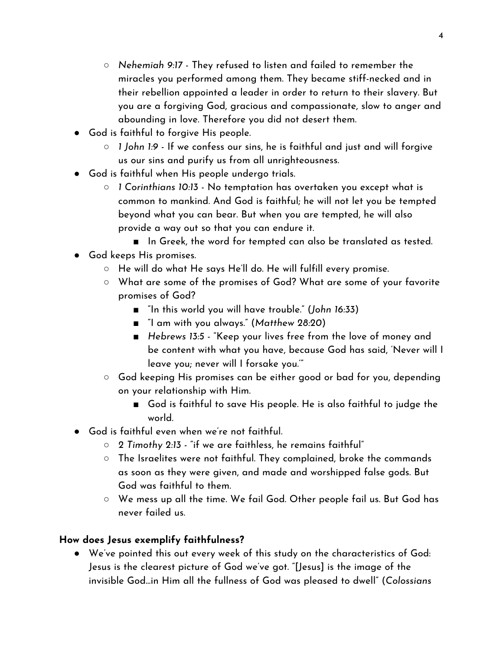- *Nehemiah 9:17* They refused to listen and failed to remember the miracles you performed among them. They became stiff-necked and in their rebellion appointed a leader in order to return to their slavery. But you are a forgiving God, gracious and compassionate, slow to anger and abounding in love. Therefore you did not desert them.
- God is faithful to forgive His people.
	- *1 John 1:9* If we confess our sins, he is faithful and just and will forgive us our sins and purify us from all unrighteousness.
- God is faithful when His people undergo trials.
	- *1 Corinthians 10:13* No temptation has overtaken you except what is common to mankind. And God is faithful; he will not let you be tempted beyond what you can bear. But when you are tempted, he will also provide a way out so that you can endure it.
		- In Greek, the word for tempted can also be translated as tested.
- God keeps His promises.
	- $\circ$  He will do what He says He'll do. He will fulfill every promise.
	- What are some of the promises of God? What are some of your favorite promises of God?
		- "In this world you will have trouble." (*John 16:33*)
		- "I am with you always." (*Matthew 28:20*)
		- *Hebrews 13:5* "Keep your lives free from the love of money and be content with what you have, because God has said, 'Never will I leave you; never will I forsake you.'"
	- God keeping His promises can be either good or bad for you, depending on your relationship with Him.
		- God is faithful to save His people. He is also faithful to judge the world.
- God is faithful even when we're not faithful.
	- *2 Timothy 2:13* "if we are faithless, he remains faithful"
	- $\circ$  The Israelites were not faithful. They complained, broke the commands as soon as they were given, and made and worshipped false gods. But God was faithful to them.
	- We mess up all the time. We fail God. Other people fail us. But God has never failed us.

# **How does Jesus exemplify faithfulness?**

● We've pointed this out every week of this study on the characteristics of God: Jesus is the clearest picture of God we've got. "[Jesus] is the image of the invisible God...in Him all the fullness of God was pleased to dwell" (*Colossians*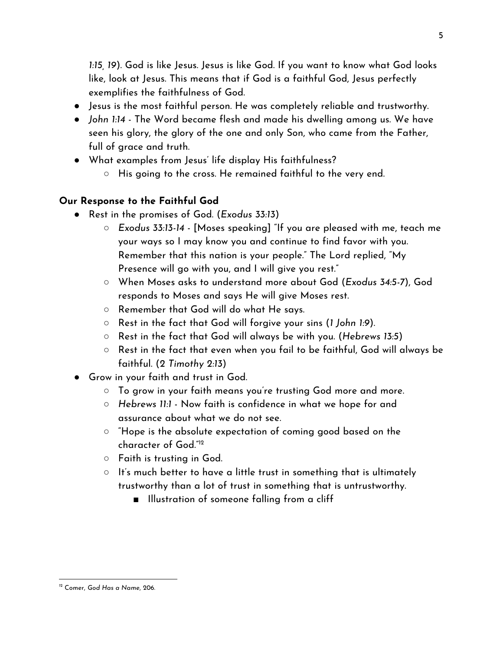*1:15, 19*). God is like Jesus. Jesus is like God. If you want to know what God looks like, look at Jesus. This means that if God is a faithful God, Jesus perfectly exemplifies the faithfulness of God.

- Jesus is the most faithful person. He was completely reliable and trustworthy.
- *John 1:14* The Word became flesh and made his dwelling among us. We have seen his glory, the glory of the one and only Son, who came from the Father, full of grace and truth.
- What examples from Jesus' life display His faithfulness?
	- $\circ$  His going to the cross. He remained faithful to the very end.

## **Our Response to the Faithful God**

- Rest in the promises of God. (*Exodus 33:13*)
	- *○ Exodus 33:13-14* [Moses speaking] "If you are pleased with me, teach me your ways so I may know you and continue to find favor with you. Remember that this nation is your people." The Lord replied, "My Presence will go with you, and I will give you rest."
	- When Moses asks to understand more about God (*Exodus 34:5-7*), God responds to Moses and says He will give Moses rest.
	- Remember that God will do what He says.
	- Rest in the fact that God will forgive your sins (*1 John 1:9*).
	- Rest in the fact that God will always be with you. (*Hebrews 13:5*)
	- $\circ$  Rest in the fact that even when you fail to be faithful, God will always be faithful. (*2 Timothy 2:13*)
- Grow in your faith and trust in God.
	- $\circ$  To grow in your faith means you're trusting God more and more.
	- *○ Hebrews 11:1* Now faith is confidence in what we hope for and assurance about what we do not see.
	- "Hope is the absolute expectation of coming good based on the character of God." 12
	- Faith is trusting in God.
	- It's much better to have a little trust in something that is ultimately trustworthy than a lot of trust in something that is untrustworthy.
		- Illustration of someone falling from a cliff

<sup>12</sup> Comer, *God Has a Name*, 206.